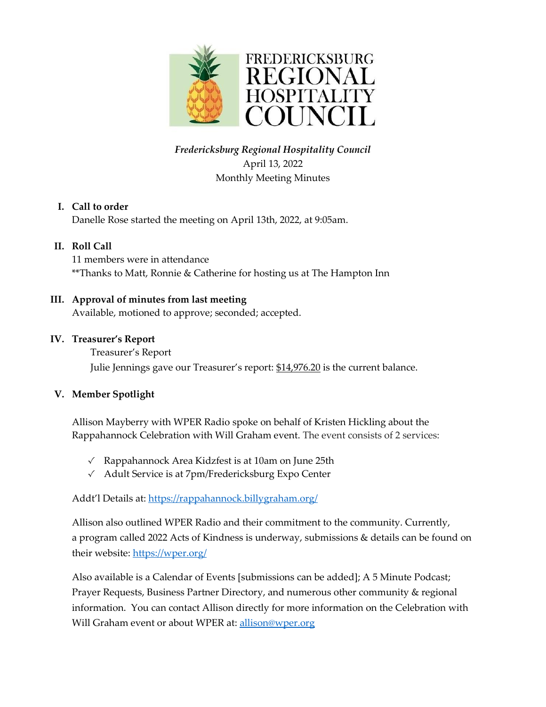

## *Fredericksburg Regional Hospitality Council* April 13, 2022 Monthly Meeting Minutes

#### **I. Call to order**

Danelle Rose started the meeting on April 13th, 2022, at 9:05am.

#### **II. Roll Call**

11 members were in attendance \*\*Thanks to Matt, Ronnie & Catherine for hosting us at The Hampton Inn

#### **III. Approval of minutes from last meeting**

Available, motioned to approve; seconded; accepted.

#### **IV. Treasurer's Report**

Treasurer's Report Julie Jennings gave our Treasurer's report: \$14,976.20 is the current balance.

#### **V. Member Spotlight**

Allison Mayberry with WPER Radio spoke on behalf of Kristen Hickling about the Rappahannock Celebration with Will Graham event. The event consists of 2 services:

- √ Rappahannock Area Kidzfest is at 10am on June 25th
- √ Adult Service is at 7pm/Fredericksburg Expo Center

Addt'l Details at: <https://rappahannock.billygraham.org/>

Allison also outlined WPER Radio and their commitment to the community. Currently, a program called 2022 Acts of Kindness is underway, submissions & details can be found on their website:<https://wper.org/>

Also available is a Calendar of Events [submissions can be added]; A 5 Minute Podcast; Prayer Requests, Business Partner Directory, and numerous other community & regional information. You can contact Allison directly for more information on the Celebration with Will Graham event or about WPER at: [allison@wper.org](mailto:allison@wper.org)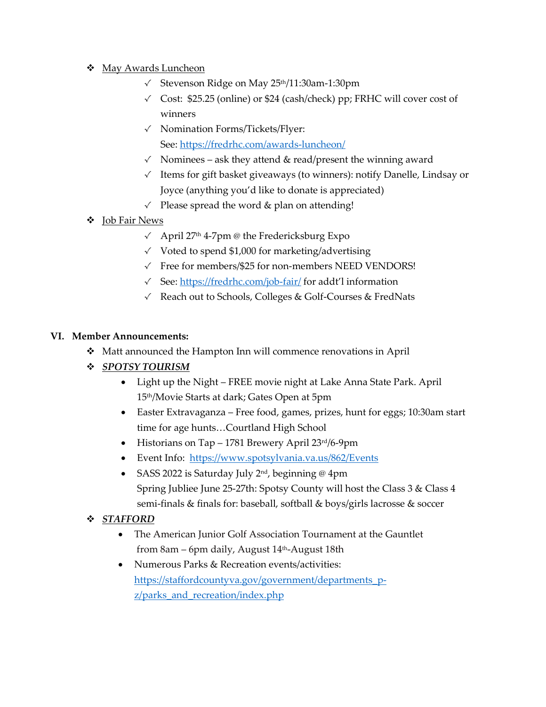- **❖** May Awards Luncheon
	- √ Stevenson Ridge on May 25th/11:30am-1:30pm
	- $\checkmark$  Cost: \$25.25 (online) or \$24 (cash/check) pp; FRHC will cover cost of winners
	- √ Nomination Forms/Tickets/Flyer: See: <https://fredrhc.com/awards-luncheon/>
	- $\checkmark$  Nominees ask they attend & read/present the winning award
	- √ Items for gift basket giveaways (to winners): notify Danelle, Lindsay or Joyce (anything you'd like to donate is appreciated)
	- √ Please spread the word & plan on attending!
- ❖ Job Fair News
	- √ April 27th 4-7pm @ the Fredericksburg Expo
	- $\checkmark$  Voted to spend \$1,000 for marketing/advertising
	- √ Free for members/\$25 for non-members NEED VENDORS!
	- √ See:<https://fredrhc.com/job-fair/> for addt'l information
	- √ Reach out to Schools, Colleges & Golf-Courses & FredNats

#### **VI. Member Announcements:**

- ◆ Matt announced the Hampton Inn will commence renovations in April
- *SPOTSY TOURISM*
	- Light up the Night FREE movie night at Lake Anna State Park. April 15th/Movie Starts at dark; Gates Open at 5pm
	- Easter Extravaganza Free food, games, prizes, hunt for eggs; 10:30am start time for age hunts…Courtland High School
	- Historians on Tap 1781 Brewery April 23rd/6-9pm
	- Event Info:<https://www.spotsylvania.va.us/862/Events>
	- SASS 2022 is Saturday July  $2<sup>nd</sup>$ , beginning @ 4pm Spring Jubliee June 25-27th: Spotsy County will host the Class 3 & Class 4 semi-finals & finals for: baseball, softball & boys/girls lacrosse & soccer
- *STAFFORD*
	- The American Junior Golf Association Tournament at the Gauntlet from 8am – 6pm daily, August 14th-August 18th
	- Numerous Parks & Recreation events/activities: [https://staffordcountyva.gov/government/departments\\_p](https://staffordcountyva.gov/government/departments_p-z/parks_and_recreation/index.php)z/parks and recreation/index.php